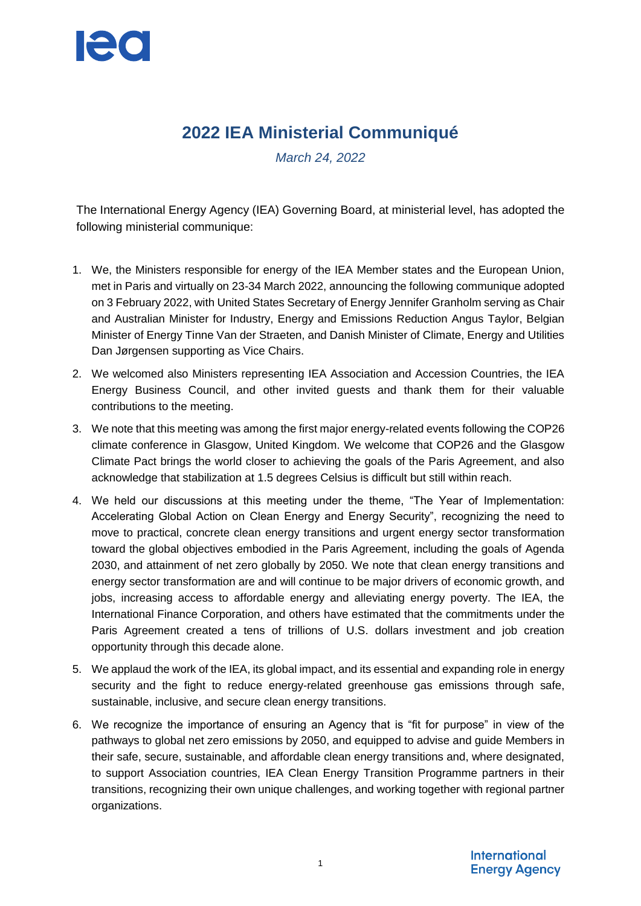

# **2022 IEA Ministerial Communiqué**

*March 24, 2022*

The International Energy Agency (IEA) Governing Board, at ministerial level, has adopted the following ministerial communique:

- 1. We, the Ministers responsible for energy of the IEA Member states and the European Union, met in Paris and virtually on 23-34 March 2022, announcing the following communique adopted on 3 February 2022, with United States Secretary of Energy Jennifer Granholm serving as Chair and Australian Minister for Industry, Energy and Emissions Reduction Angus Taylor, Belgian Minister of Energy Tinne Van der Straeten, and Danish Minister of Climate, Energy and Utilities Dan Jørgensen supporting as Vice Chairs.
- 2. We welcomed also Ministers representing IEA Association and Accession Countries, the IEA Energy Business Council, and other invited guests and thank them for their valuable contributions to the meeting.
- 3. We note that this meeting was among the first major energy-related events following the COP26 climate conference in Glasgow, United Kingdom. We welcome that COP26 and the Glasgow Climate Pact brings the world closer to achieving the goals of the Paris Agreement, and also acknowledge that stabilization at 1.5 degrees Celsius is difficult but still within reach.
- 4. We held our discussions at this meeting under the theme, "The Year of Implementation: Accelerating Global Action on Clean Energy and Energy Security", recognizing the need to move to practical, concrete clean energy transitions and urgent energy sector transformation toward the global objectives embodied in the Paris Agreement, including the goals of Agenda 2030, and attainment of net zero globally by 2050. We note that clean energy transitions and energy sector transformation are and will continue to be major drivers of economic growth, and jobs, increasing access to affordable energy and alleviating energy poverty. The IEA, the International Finance Corporation, and others have estimated that the commitments under the Paris Agreement created a tens of trillions of U.S. dollars investment and job creation opportunity through this decade alone.
- 5. We applaud the work of the IEA, its global impact, and its essential and expanding role in energy security and the fight to reduce energy-related greenhouse gas emissions through safe, sustainable, inclusive, and secure clean energy transitions.
- 6. We recognize the importance of ensuring an Agency that is "fit for purpose" in view of the pathways to global net zero emissions by 2050, and equipped to advise and guide Members in their safe, secure, sustainable, and affordable clean energy transitions and, where designated, to support Association countries, IEA Clean Energy Transition Programme partners in their transitions, recognizing their own unique challenges, and working together with regional partner organizations.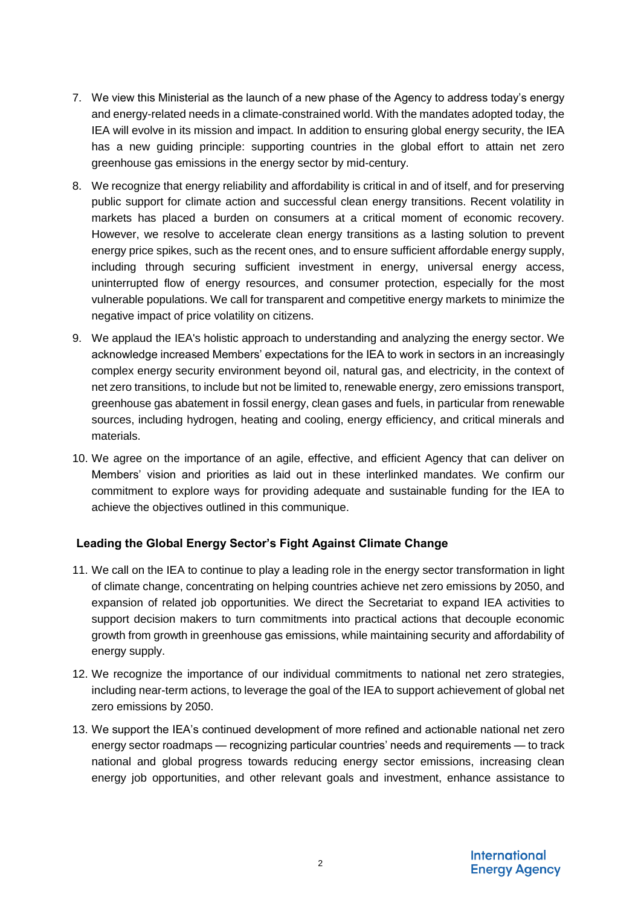- 7. We view this Ministerial as the launch of a new phase of the Agency to address today's energy and energy-related needs in a climate-constrained world. With the mandates adopted today, the IEA will evolve in its mission and impact. In addition to ensuring global energy security, the IEA has a new guiding principle: supporting countries in the global effort to attain net zero greenhouse gas emissions in the energy sector by mid-century.
- 8. We recognize that energy reliability and affordability is critical in and of itself, and for preserving public support for climate action and successful clean energy transitions. Recent volatility in markets has placed a burden on consumers at a critical moment of economic recovery. However, we resolve to accelerate clean energy transitions as a lasting solution to prevent energy price spikes, such as the recent ones, and to ensure sufficient affordable energy supply, including through securing sufficient investment in energy, universal energy access, uninterrupted flow of energy resources, and consumer protection, especially for the most vulnerable populations. We call for transparent and competitive energy markets to minimize the negative impact of price volatility on citizens.
- 9. We applaud the IEA's holistic approach to understanding and analyzing the energy sector. We acknowledge increased Members' expectations for the IEA to work in sectors in an increasingly complex energy security environment beyond oil, natural gas, and electricity, in the context of net zero transitions, to include but not be limited to, renewable energy, zero emissions transport, greenhouse gas abatement in fossil energy, clean gases and fuels, in particular from renewable sources, including hydrogen, heating and cooling, energy efficiency, and critical minerals and materials.
- 10. We agree on the importance of an agile, effective, and efficient Agency that can deliver on Members' vision and priorities as laid out in these interlinked mandates. We confirm our commitment to explore ways for providing adequate and sustainable funding for the IEA to achieve the objectives outlined in this communique.

# **Leading the Global Energy Sector's Fight Against Climate Change**

- 11. We call on the IEA to continue to play a leading role in the energy sector transformation in light of climate change, concentrating on helping countries achieve net zero emissions by 2050, and expansion of related job opportunities. We direct the Secretariat to expand IEA activities to support decision makers to turn commitments into practical actions that decouple economic growth from growth in greenhouse gas emissions, while maintaining security and affordability of energy supply.
- 12. We recognize the importance of our individual commitments to national net zero strategies, including near-term actions, to leverage the goal of the IEA to support achievement of global net zero emissions by 2050.
- 13. We support the IEA's continued development of more refined and actionable national net zero energy sector roadmaps — recognizing particular countries' needs and requirements — to track national and global progress towards reducing energy sector emissions, increasing clean energy job opportunities, and other relevant goals and investment, enhance assistance to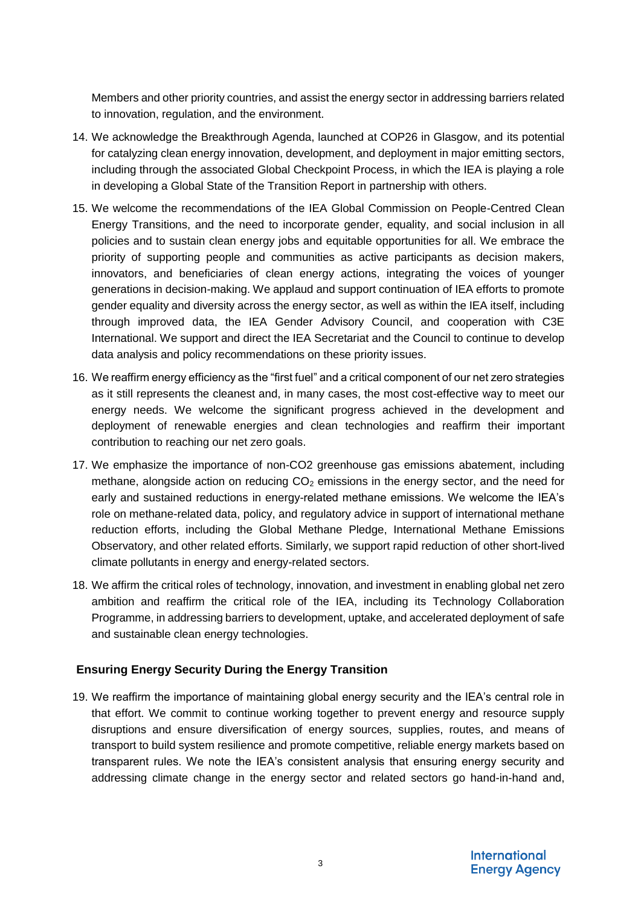Members and other priority countries, and assist the energy sector in addressing barriers related to innovation, regulation, and the environment.

- 14. We acknowledge the Breakthrough Agenda, launched at COP26 in Glasgow, and its potential for catalyzing clean energy innovation, development, and deployment in major emitting sectors, including through the associated Global Checkpoint Process, in which the IEA is playing a role in developing a Global State of the Transition Report in partnership with others.
- 15. We welcome the recommendations of the IEA Global Commission on People-Centred Clean Energy Transitions, and the need to incorporate gender, equality, and social inclusion in all policies and to sustain clean energy jobs and equitable opportunities for all. We embrace the priority of supporting people and communities as active participants as decision makers, innovators, and beneficiaries of clean energy actions, integrating the voices of younger generations in decision-making. We applaud and support continuation of IEA efforts to promote gender equality and diversity across the energy sector, as well as within the IEA itself, including through improved data, the IEA Gender Advisory Council, and cooperation with C3E International. We support and direct the IEA Secretariat and the Council to continue to develop data analysis and policy recommendations on these priority issues.
- 16. We reaffirm energy efficiency as the "first fuel" and a critical component of our net zero strategies as it still represents the cleanest and, in many cases, the most cost-effective way to meet our energy needs. We welcome the significant progress achieved in the development and deployment of renewable energies and clean technologies and reaffirm their important contribution to reaching our net zero goals.
- 17. We emphasize the importance of non-CO2 greenhouse gas emissions abatement, including methane, alongside action on reducing  $CO<sub>2</sub>$  emissions in the energy sector, and the need for early and sustained reductions in energy-related methane emissions. We welcome the IEA's role on methane-related data, policy, and regulatory advice in support of international methane reduction efforts, including the Global Methane Pledge, International Methane Emissions Observatory, and other related efforts. Similarly, we support rapid reduction of other short-lived climate pollutants in energy and energy-related sectors.
- 18. We affirm the critical roles of technology, innovation, and investment in enabling global net zero ambition and reaffirm the critical role of the IEA, including its Technology Collaboration Programme, in addressing barriers to development, uptake, and accelerated deployment of safe and sustainable clean energy technologies.

# **Ensuring Energy Security During the Energy Transition**

19. We reaffirm the importance of maintaining global energy security and the IEA's central role in that effort. We commit to continue working together to prevent energy and resource supply disruptions and ensure diversification of energy sources, supplies, routes, and means of transport to build system resilience and promote competitive, reliable energy markets based on transparent rules. We note the IEA's consistent analysis that ensuring energy security and addressing climate change in the energy sector and related sectors go hand-in-hand and,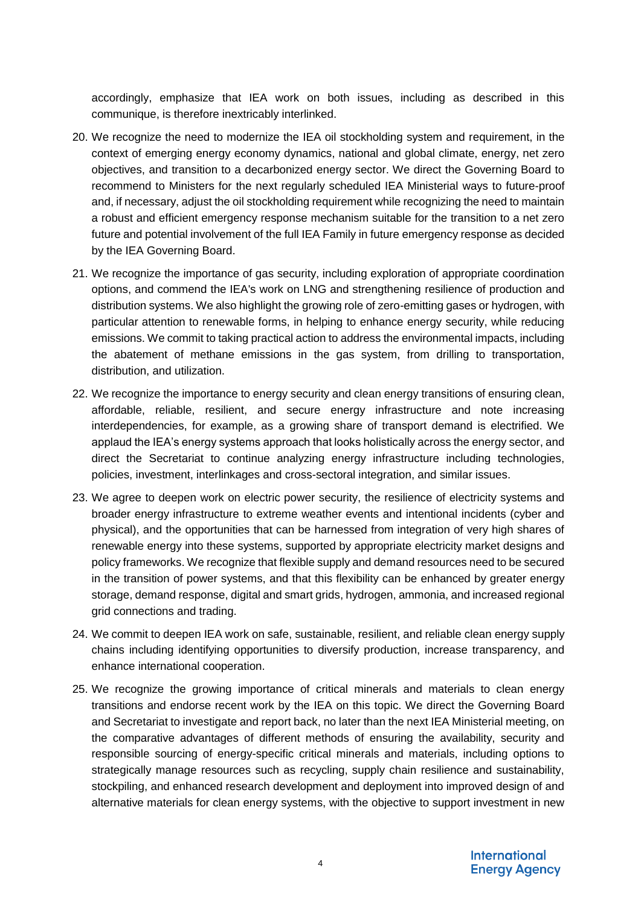accordingly, emphasize that IEA work on both issues, including as described in this communique, is therefore inextricably interlinked.

- 20. We recognize the need to modernize the IEA oil stockholding system and requirement, in the context of emerging energy economy dynamics, national and global climate, energy, net zero objectives, and transition to a decarbonized energy sector. We direct the Governing Board to recommend to Ministers for the next regularly scheduled IEA Ministerial ways to future-proof and, if necessary, adjust the oil stockholding requirement while recognizing the need to maintain a robust and efficient emergency response mechanism suitable for the transition to a net zero future and potential involvement of the full IEA Family in future emergency response as decided by the IEA Governing Board.
- 21. We recognize the importance of gas security, including exploration of appropriate coordination options, and commend the IEA's work on LNG and strengthening resilience of production and distribution systems. We also highlight the growing role of zero-emitting gases or hydrogen, with particular attention to renewable forms, in helping to enhance energy security, while reducing emissions. We commit to taking practical action to address the environmental impacts, including the abatement of methane emissions in the gas system, from drilling to transportation, distribution, and utilization.
- 22. We recognize the importance to energy security and clean energy transitions of ensuring clean, affordable, reliable, resilient, and secure energy infrastructure and note increasing interdependencies, for example, as a growing share of transport demand is electrified. We applaud the IEA's energy systems approach that looks holistically across the energy sector, and direct the Secretariat to continue analyzing energy infrastructure including technologies, policies, investment, interlinkages and cross-sectoral integration, and similar issues.
- 23. We agree to deepen work on electric power security, the resilience of electricity systems and broader energy infrastructure to extreme weather events and intentional incidents (cyber and physical), and the opportunities that can be harnessed from integration of very high shares of renewable energy into these systems, supported by appropriate electricity market designs and policy frameworks. We recognize that flexible supply and demand resources need to be secured in the transition of power systems, and that this flexibility can be enhanced by greater energy storage, demand response, digital and smart grids, hydrogen, ammonia, and increased regional grid connections and trading.
- 24. We commit to deepen IEA work on safe, sustainable, resilient, and reliable clean energy supply chains including identifying opportunities to diversify production, increase transparency, and enhance international cooperation.
- 25. We recognize the growing importance of critical minerals and materials to clean energy transitions and endorse recent work by the IEA on this topic. We direct the Governing Board and Secretariat to investigate and report back, no later than the next IEA Ministerial meeting, on the comparative advantages of different methods of ensuring the availability, security and responsible sourcing of energy-specific critical minerals and materials, including options to strategically manage resources such as recycling, supply chain resilience and sustainability, stockpiling, and enhanced research development and deployment into improved design of and alternative materials for clean energy systems, with the objective to support investment in new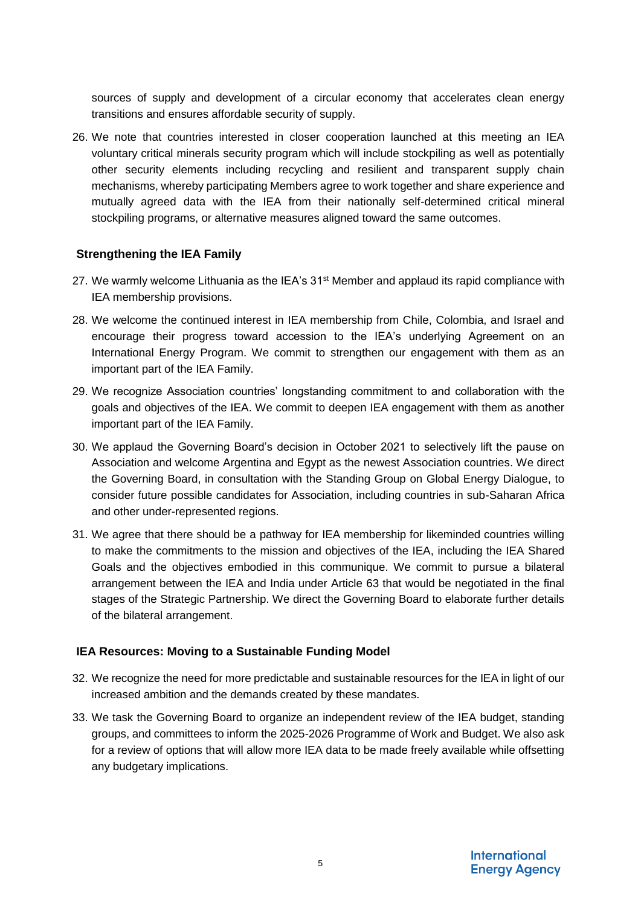sources of supply and development of a circular economy that accelerates clean energy transitions and ensures affordable security of supply.

26. We note that countries interested in closer cooperation launched at this meeting an IEA voluntary critical minerals security program which will include stockpiling as well as potentially other security elements including recycling and resilient and transparent supply chain mechanisms, whereby participating Members agree to work together and share experience and mutually agreed data with the IEA from their nationally self-determined critical mineral stockpiling programs, or alternative measures aligned toward the same outcomes.

### **Strengthening the IEA Family**

- 27. We warmly welcome Lithuania as the IEA's  $31<sup>st</sup>$  Member and applaud its rapid compliance with IEA membership provisions.
- 28. We welcome the continued interest in IEA membership from Chile, Colombia, and Israel and encourage their progress toward accession to the IEA's underlying Agreement on an International Energy Program. We commit to strengthen our engagement with them as an important part of the IEA Family.
- 29. We recognize Association countries' longstanding commitment to and collaboration with the goals and objectives of the IEA. We commit to deepen IEA engagement with them as another important part of the IEA Family.
- 30. We applaud the Governing Board's decision in October 2021 to selectively lift the pause on Association and welcome Argentina and Egypt as the newest Association countries. We direct the Governing Board, in consultation with the Standing Group on Global Energy Dialogue, to consider future possible candidates for Association, including countries in sub-Saharan Africa and other under-represented regions.
- 31. We agree that there should be a pathway for IEA membership for likeminded countries willing to make the commitments to the mission and objectives of the IEA, including the IEA Shared Goals and the objectives embodied in this communique. We commit to pursue a bilateral arrangement between the IEA and India under Article 63 that would be negotiated in the final stages of the Strategic Partnership. We direct the Governing Board to elaborate further details of the bilateral arrangement.

# **IEA Resources: Moving to a Sustainable Funding Model**

- 32. We recognize the need for more predictable and sustainable resources for the IEA in light of our increased ambition and the demands created by these mandates.
- 33. We task the Governing Board to organize an independent review of the IEA budget, standing groups, and committees to inform the 2025-2026 Programme of Work and Budget. We also ask for a review of options that will allow more IEA data to be made freely available while offsetting any budgetary implications.